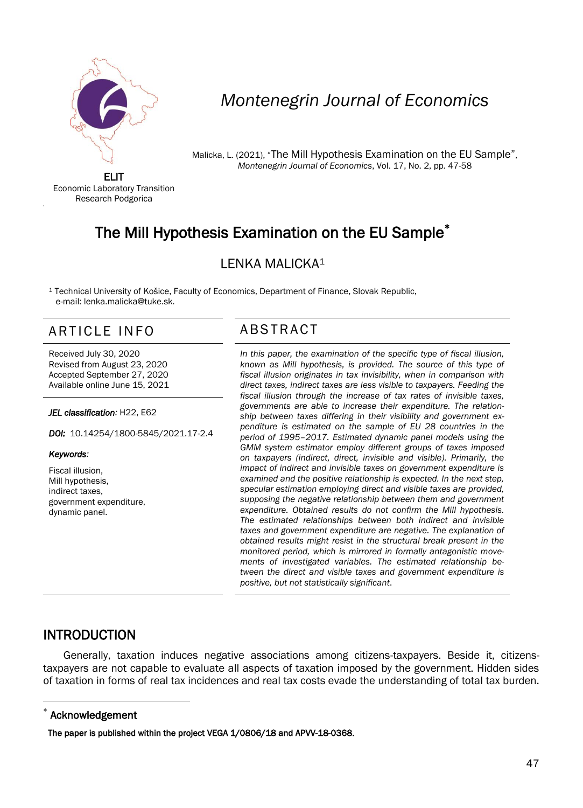

# *Montenegrin Journal of Economics*

Malicka, L. (2021), "The Mill Hypothesis Examination on the EU Sample", *Montenegrin Journal of Economics*, Vol. 17, No. 2, pp. 47-58

ELIT Economic Laboratory Transition Research Podgorica

# The Mill Hypothesis Examination on the EU Sample

### LENKA MALICKA<sup>1</sup>

<sup>1</sup> Technical University of Košice, Faculty of Economics, Department of Finance, Slovak Republic, e-mail: lenka.malicka@tuke.sk.

## ARTICLE INFO ABSTRACT

Received July 30, 2020 Revised from August 23, 2020 Accepted September 27, 2020 Available online June 15, 2021

*JEL classification:* H22, E62

*DOI:* 10.14254/1800-5845/2021.17-2.4

### *Keywords:*

'

Fiscal illusion, Mill hypothesis, indirect taxes, government expenditure, dynamic panel.

 *In this paper, the examination of the specific type of fiscal illusion, known as Mill hypothesis, is provided. The source of this type of fiscal illusion originates in tax invisibility, when in comparison with direct taxes, indirect taxes are less visible to taxpayers. Feeding the fiscal illusion through the increase of tax rates of invisible taxes, governments are able to increase their expenditure. The relationship between taxes differing in their visibility and government expenditure is estimated on the sample of EU 28 countries in the period of 1995–2017. Estimated dynamic panel models using the GMM system estimator employ different groups of taxes imposed on taxpayers (indirect, direct, invisible and visible). Primarily, the impact of indirect and invisible taxes on government expenditure is examined and the positive relationship is expected. In the next step, specular estimation employing direct and visible taxes are provided, supposing the negative relationship between them and government expenditure. Obtained results do not confirm the Mill hypothesis. The estimated relationships between both indirect and invisible taxes and government expenditure are negative. The explanation of obtained results might resist in the structural break present in the monitored period, which is mirrored in formally antagonistic movements of investigated variables. The estimated relationship between the direct and visible taxes and government expenditure is positive, but not statistically significant*.

### INTRODUCTION

Generally, taxation induces negative associations among citizens-taxpayers. Beside it, citizenstaxpayers are not capable to evaluate all aspects of taxation imposed by the government. Hidden sides of taxation in forms of real tax incidences and real tax costs evade the understanding of total tax burden.

### \* Acknowledgement

 $\overline{a}$ 

The paper is published within the project VEGA 1/0806/18 and APVV-18-0368.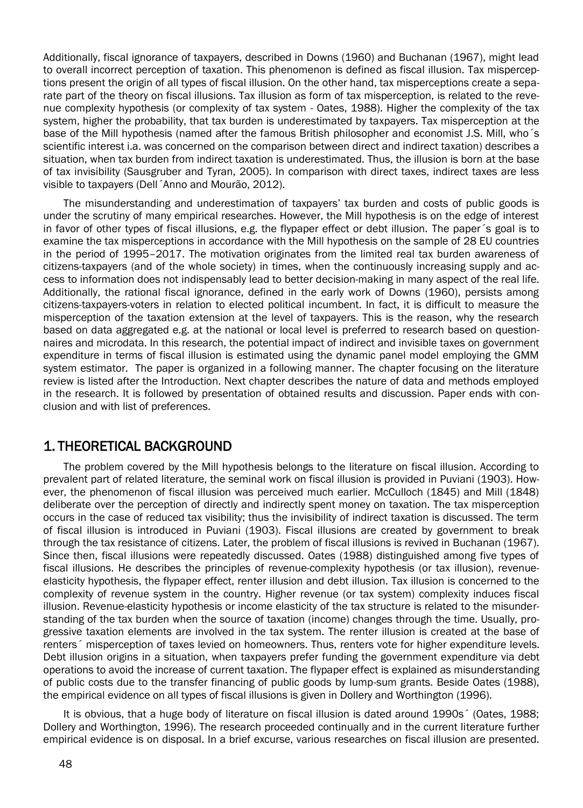Additionally, fiscal ignorance of taxpayers, described in Downs (1960) and Buchanan (1967), might lead to overall incorrect perception of taxation. This phenomenon is defined as fiscal illusion. Tax misperceptions present the origin of all types of fiscal illusion. On the other hand, tax misperceptions create a separate part of the theory on fiscal illusions. Tax illusion as form of tax misperception, is related to the revenue complexity hypothesis (or complexity of tax system - Oates, 1988). Higher the complexity of the tax system, higher the probability, that tax burden is underestimated by taxpayers. Tax misperception at the base of the Mill hypothesis (named after the famous British philosopher and economist J.S. Mill, who´s scientific interest i.a. was concerned on the comparison between direct and indirect taxation) describes a situation, when tax burden from indirect taxation is underestimated. Thus, the illusion is born at the base of tax invisibility (Sausgruber and Tyran, 2005). In comparison with direct taxes, indirect taxes are less visible to taxpayers (Dell´Anno and Mourão, 2012).

The misunderstanding and underestimation of taxpayers' tax burden and costs of public goods is under the scrutiny of many empirical researches. However, the Mill hypothesis is on the edge of interest in favor of other types of fiscal illusions, e.g. the flypaper effect or debt illusion. The paper´s goal is to examine the tax misperceptions in accordance with the Mill hypothesis on the sample of 28 EU countries in the period of 1995–2017. The motivation originates from the limited real tax burden awareness of citizens-taxpayers (and of the whole society) in times, when the continuously increasing supply and access to information does not indispensably lead to better decision-making in many aspect of the real life. Additionally, the rational fiscal ignorance, defined in the early work of Downs (1960), persists among citizens-taxpayers-voters in relation to elected political incumbent. In fact, it is difficult to measure the misperception of the taxation extension at the level of taxpayers. This is the reason, why the research based on data aggregated e.g. at the national or local level is preferred to research based on questionnaires and microdata. In this research, the potential impact of indirect and invisible taxes on government expenditure in terms of fiscal illusion is estimated using the dynamic panel model employing the GMM system estimator. The paper is organized in a following manner. The chapter focusing on the literature review is listed after the Introduction. Next chapter describes the nature of data and methods employed in the research. It is followed by presentation of obtained results and discussion. Paper ends with conclusion and with list of preferences.

### 1. THEORETICAL BACKGROUND

The problem covered by the Mill hypothesis belongs to the literature on fiscal illusion. According to prevalent part of related literature, the seminal work on fiscal illusion is provided in Puviani (1903). However, the phenomenon of fiscal illusion was perceived much earlier. McCulloch (1845) and Mill (1848) deliberate over the perception of directly and indirectly spent money on taxation. The tax misperception occurs in the case of reduced tax visibility; thus the invisibility of indirect taxation is discussed. The term of fiscal illusion is introduced in Puviani (1903). Fiscal illusions are created by government to break through the tax resistance of citizens. Later, the problem of fiscal illusions is revived in Buchanan (1967). Since then, fiscal illusions were repeatedly discussed. Oates (1988) distinguished among five types of fiscal illusions. He describes the principles of revenue-complexity hypothesis (or tax illusion), revenueelasticity hypothesis, the flypaper effect, renter illusion and debt illusion. Tax illusion is concerned to the complexity of revenue system in the country. Higher revenue (or tax system) complexity induces fiscal illusion. Revenue-elasticity hypothesis or income elasticity of the tax structure is related to the misunderstanding of the tax burden when the source of taxation (income) changes through the time. Usually, progressive taxation elements are involved in the tax system. The renter illusion is created at the base of renters´ misperception of taxes levied on homeowners. Thus, renters vote for higher expenditure levels. Debt illusion origins in a situation, when taxpayers prefer funding the government expenditure via debt operations to avoid the increase of current taxation. The flypaper effect is explained as misunderstanding of public costs due to the transfer financing of public goods by lump-sum grants. Beside Oates (1988), the empirical evidence on all types of fiscal illusions is given in Dollery and Worthington (1996).

It is obvious, that a huge body of literature on fiscal illusion is dated around 1990s<sup>2</sup> (Oates, 1988; Dollery and Worthington, 1996). The research proceeded continually and in the current literature further empirical evidence is on disposal. In a brief excurse, various researches on fiscal illusion are presented.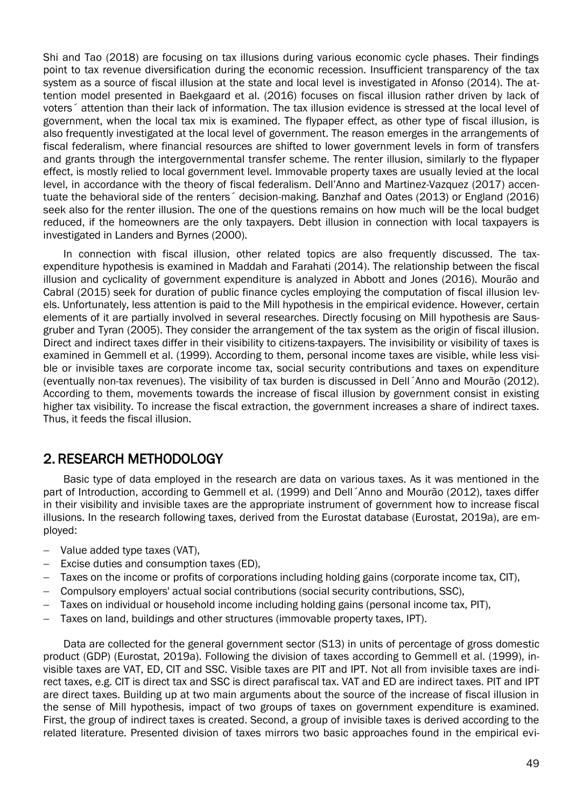Shi and Tao (2018) are focusing on tax illusions during various economic cycle phases. Their findings point to tax revenue diversification during the economic recession. Insufficient transparency of the tax system as a source of fiscal illusion at the state and local level is investigated in Afonso (2014). The attention model presented in Baekgaard et al. (2016) focuses on fiscal illusion rather driven by lack of voters´ attention than their lack of information. The tax illusion evidence is stressed at the local level of government, when the local tax mix is examined. The flypaper effect, as other type of fiscal illusion, is also frequently investigated at the local level of government. The reason emerges in the arrangements of fiscal federalism, where financial resources are shifted to lower government levels in form of transfers and grants through the intergovernmental transfer scheme. The renter illusion, similarly to the flypaper effect, is mostly relied to local government level. Immovable property taxes are usually levied at the local level, in accordance with the theory of fiscal federalism. Dell'Anno and Martinez-Vazquez (2017) accentuate the behavioral side of the renters´ decision-making. Banzhaf and Oates (2013) or England (2016) seek also for the renter illusion. The one of the questions remains on how much will be the local budget reduced, if the homeowners are the only taxpayers. Debt illusion in connection with local taxpayers is investigated in Landers and Byrnes (2000).

In connection with fiscal illusion, other related topics are also frequently discussed. The taxexpenditure hypothesis is examined in Maddah and Farahati (2014). The relationship between the fiscal illusion and cyclicality of government expenditure is analyzed in Abbott and Jones (2016). Mourão and Cabral (2015) seek for duration of public finance cycles employing the computation of fiscal illusion levels. Unfortunately, less attention is paid to the Mill hypothesis in the empirical evidence. However, certain elements of it are partially involved in several researches. Directly focusing on Mill hypothesis are Sausgruber and Tyran (2005). They consider the arrangement of the tax system as the origin of fiscal illusion. Direct and indirect taxes differ in their visibility to citizens-taxpayers. The invisibility or visibility of taxes is examined in Gemmell et al. (1999). According to them, personal income taxes are visible, while less visible or invisible taxes are corporate income tax, social security contributions and taxes on expenditure (eventually non-tax revenues). The visibility of tax burden is discussed in Dell´Anno and Mourão (2012). According to them, movements towards the increase of fiscal illusion by government consist in existing higher tax visibility. To increase the fiscal extraction, the government increases a share of indirect taxes. Thus, it feeds the fiscal illusion.

### 2. RESEARCH METHODOLOGY

Basic type of data employed in the research are data on various taxes. As it was mentioned in the part of Introduction, according to Gemmell et al. (1999) and Dell´Anno and Mourão (2012), taxes differ in their visibility and invisible taxes are the appropriate instrument of government how to increase fiscal illusions. In the research following taxes, derived from the Eurostat database (Eurostat, 2019a), are employed:

- Value added type taxes (VAT),
- Excise duties and consumption taxes (ED),
- Taxes on the income or profits of corporations including holding gains (corporate income tax, CIT),
- Compulsory employers' actual social contributions (social security contributions, SSC),
- Taxes on individual or household income including holding gains (personal income tax, PIT),
- Taxes on land, buildings and other structures (immovable property taxes, IPT).

Data are collected for the general government sector (S13) in units of percentage of gross domestic product (GDP) (Eurostat, 2019a). Following the division of taxes according to Gemmell et al. (1999), invisible taxes are VAT, ED, CIT and SSC. Visible taxes are PIT and IPT. Not all from invisible taxes are indirect taxes, e.g. CIT is direct tax and SSC is direct parafiscal tax. VAT and ED are indirect taxes. PIT and IPT are direct taxes. Building up at two main arguments about the source of the increase of fiscal illusion in the sense of Mill hypothesis, impact of two groups of taxes on government expenditure is examined. First, the group of indirect taxes is created. Second, a group of invisible taxes is derived according to the related literature. Presented division of taxes mirrors two basic approaches found in the empirical evi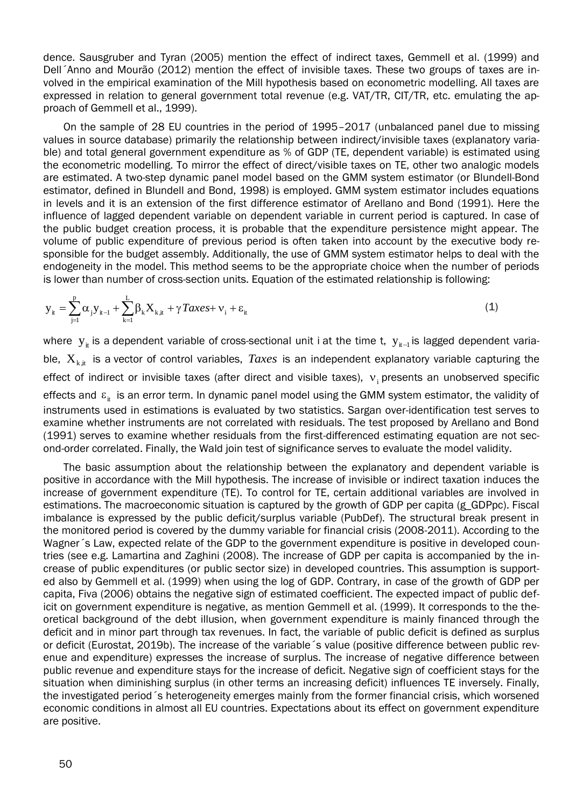dence. Sausgruber and Tyran (2005) mention the effect of indirect taxes, Gemmell et al. (1999) and Dell´Anno and Mourão (2012) mention the effect of invisible taxes. These two groups of taxes are involved in the empirical examination of the Mill hypothesis based on econometric modelling. All taxes are expressed in relation to general government total revenue (e.g. VAT/TR, CIT/TR, etc. emulating the approach of Gemmell et al., 1999).

On the sample of 28 EU countries in the period of 1995–2017 (unbalanced panel due to missing values in source database) primarily the relationship between indirect/invisible taxes (explanatory variable) and total general government expenditure as % of GDP (TE, dependent variable) is estimated using the econometric modelling. To mirror the effect of direct/visible taxes on TE, other two analogic models are estimated. A two-step dynamic panel model based on the GMM system estimator (or Blundell-Bond estimator, defined in Blundell and Bond, 1998) is employed. GMM system estimator includes equations in levels and it is an extension of the first difference estimator of Arellano and Bond (1991). Here the influence of lagged dependent variable on dependent variable in current period is captured. In case of the public budget creation process, it is probable that the expenditure persistence might appear. The volume of public expenditure of previous period is often taken into account by the executive body responsible for the budget assembly. Additionally, the use of GMM system estimator helps to deal with the endogeneity in the model. This method seems to be the appropriate choice when the number of periods is lower than number of cross-section units. Equation of the estimated relationship is following:

$$
y_{it} = \sum_{j=1}^{p} \alpha_{j} y_{it-1} + \sum_{k=1}^{L} \beta_{k} X_{k, it} + \gamma \text{Z} \alpha \epsilon s + v_{i} + \varepsilon_{it}
$$
\n(1)

where  $y_{i}$  is a dependent variable of cross-sectional unit i at the time t,  $y_{i_{t-1}}$  is lagged dependent variable,  $X_{k,i}$  is a vector of control variables, *Taxes* is an independent explanatory variable capturing the effect of indirect or invisible taxes (after direct and visible taxes),  $v_i$  presents an unobserved specific effects and  $\varepsilon_{it}$  is an error term. In dynamic panel model using the GMM system estimator, the validity of instruments used in estimations is evaluated by two statistics. Sargan over-identification test serves to examine whether instruments are not correlated with residuals. The test proposed by Arellano and Bond (1991) serves to examine whether residuals from the first-differenced estimating equation are not second-order correlated. Finally, the Wald join test of significance serves to evaluate the model validity.

The basic assumption about the relationship between the explanatory and dependent variable is positive in accordance with the Mill hypothesis. The increase of invisible or indirect taxation induces the increase of government expenditure (TE). To control for TE, certain additional variables are involved in estimations. The macroeconomic situation is captured by the growth of GDP per capita (g\_GDPpc). Fiscal imbalance is expressed by the public deficit/surplus variable (PubDef). The structural break present in the monitored period is covered by the dummy variable for financial crisis (2008-2011). According to the Wagner´s Law, expected relate of the GDP to the government expenditure is positive in developed countries (see e.g. Lamartina and Zaghini (2008). The increase of GDP per capita is accompanied by the increase of public expenditures (or public sector size) in developed countries. This assumption is supported also by Gemmell et al. (1999) when using the log of GDP. Contrary, in case of the growth of GDP per capita, Fiva (2006) obtains the negative sign of estimated coefficient. The expected impact of public deficit on government expenditure is negative, as mention Gemmell et al. (1999). It corresponds to the theoretical background of the debt illusion, when government expenditure is mainly financed through the deficit and in minor part through tax revenues. In fact, the variable of public deficit is defined as surplus or deficit (Eurostat, 2019b). The increase of the variable´s value (positive difference between public revenue and expenditure) expresses the increase of surplus. The increase of negative difference between public revenue and expenditure stays for the increase of deficit. Negative sign of coefficient stays for the situation when diminishing surplus (in other terms an increasing deficit) influences TE inversely. Finally, the investigated period´s heterogeneity emerges mainly from the former financial crisis, which worsened economic conditions in almost all EU countries. Expectations about its effect on government expenditure are positive.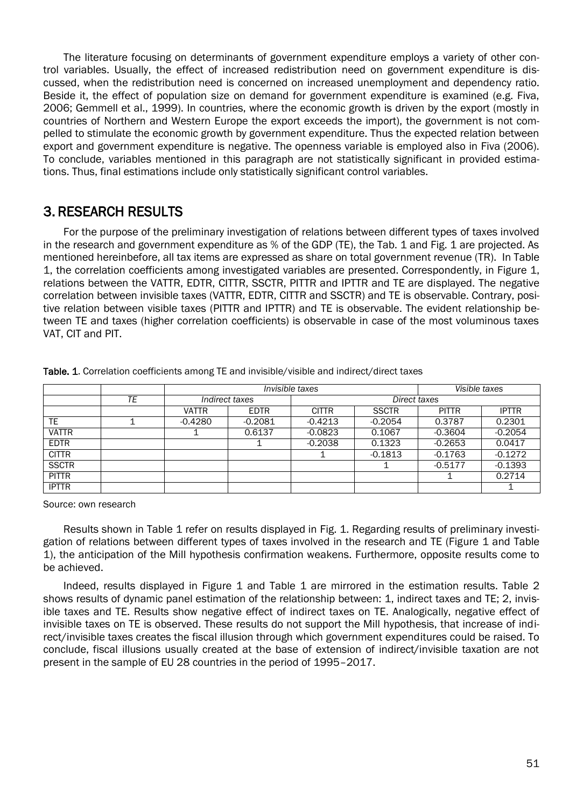The literature focusing on determinants of government expenditure employs a variety of other control variables. Usually, the effect of increased redistribution need on government expenditure is discussed, when the redistribution need is concerned on increased unemployment and dependency ratio. Beside it, the effect of population size on demand for government expenditure is examined (e.g. Fiva, 2006; Gemmell et al., 1999). In countries, where the economic growth is driven by the export (mostly in countries of Northern and Western Europe the export exceeds the import), the government is not compelled to stimulate the economic growth by government expenditure. Thus the expected relation between export and government expenditure is negative. The openness variable is employed also in Fiva (2006). To conclude, variables mentioned in this paragraph are not statistically significant in provided estimations. Thus, final estimations include only statistically significant control variables.

### 3. RESEARCH RESULTS

For the purpose of the preliminary investigation of relations between different types of taxes involved in the research and government expenditure as % of the GDP (TE), the Tab. 1 and Fig. 1 are projected. As mentioned hereinbefore, all tax items are expressed as share on total government revenue (TR). In Table 1, the correlation coefficients among investigated variables are presented. Correspondently, in Figure 1, relations between the VATTR, EDTR, CITTR, SSCTR, PITTR and IPTTR and TE are displayed. The negative correlation between invisible taxes (VATTR, EDTR, CITTR and SSCTR) and TE is observable. Contrary, positive relation between visible taxes (PITTR and IPTTR) and TE is observable. The evident relationship between TE and taxes (higher correlation coefficients) is observable in case of the most voluminous taxes VAT, CIT and PIT.

|              |    |                | Invisible taxes | Visible taxes |              |              |              |  |
|--------------|----|----------------|-----------------|---------------|--------------|--------------|--------------|--|
|              | ТE | Indirect taxes |                 | Direct taxes  |              |              |              |  |
|              |    | <b>VATTR</b>   | <b>EDTR</b>     | <b>CITTR</b>  | <b>SSCTR</b> | <b>PITTR</b> | <b>IPTTR</b> |  |
| TE           |    | $-0.4280$      | $-0.2081$       | $-0.4213$     | $-0.2054$    | 0.3787       | 0.2301       |  |
| <b>VATTR</b> |    |                | 0.6137          | $-0.0823$     | 0.1067       | $-0.3604$    | $-0.2054$    |  |
| <b>EDTR</b>  |    |                |                 | $-0.2038$     | 0.1323       | $-0.2653$    | 0.0417       |  |
| <b>CITTR</b> |    |                |                 |               | $-0.1813$    | $-0.1763$    | $-0.1272$    |  |
| <b>SSCTR</b> |    |                |                 |               |              | $-0.5177$    | $-0.1393$    |  |
| <b>PITTR</b> |    |                |                 |               |              |              | 0.2714       |  |
| <b>IPTTR</b> |    |                |                 |               |              |              |              |  |

Table. 1. Correlation coefficients among TE and invisible/visible and indirect/direct taxes

Source: own research

Results shown in Table 1 refer on results displayed in Fig. 1. Regarding results of preliminary investigation of relations between different types of taxes involved in the research and TE (Figure 1 and Table 1), the anticipation of the Mill hypothesis confirmation weakens. Furthermore, opposite results come to be achieved.

Indeed, results displayed in Figure 1 and Table 1 are mirrored in the estimation results. Table 2 shows results of dynamic panel estimation of the relationship between: 1, indirect taxes and TE; 2, invisible taxes and TE. Results show negative effect of indirect taxes on TE. Analogically, negative effect of invisible taxes on TE is observed. These results do not support the Mill hypothesis, that increase of indirect/invisible taxes creates the fiscal illusion through which government expenditures could be raised. To conclude, fiscal illusions usually created at the base of extension of indirect/invisible taxation are not present in the sample of EU 28 countries in the period of 1995–2017.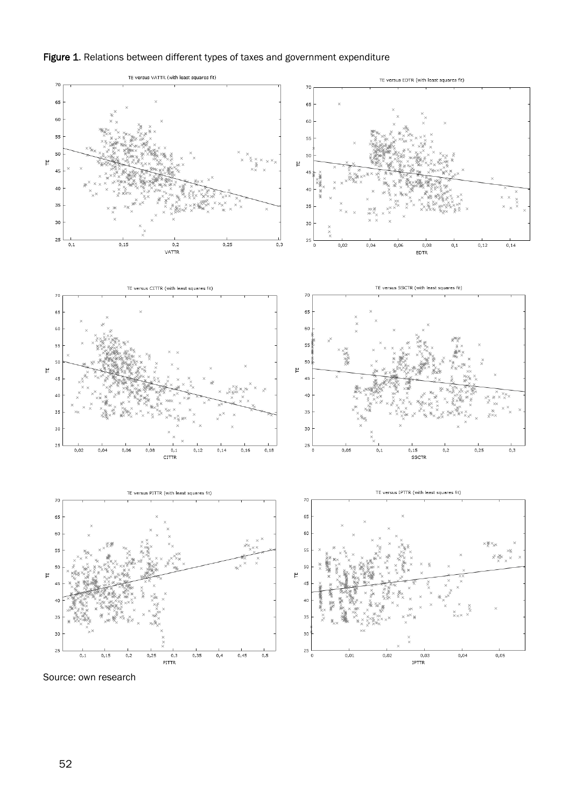



Source: own research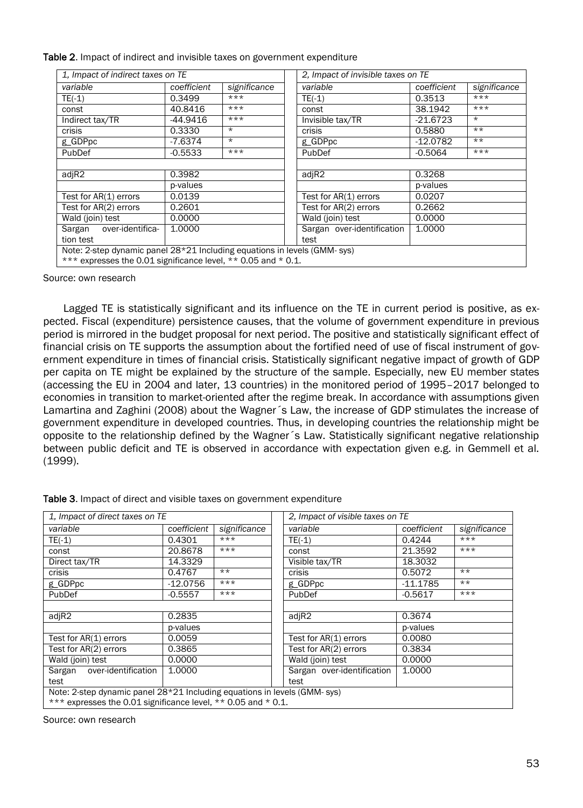Table 2. Impact of indirect and invisible taxes on government expenditure

| 1. Impact of indirect taxes on TE                                        |             |              |  | 2. Impact of invisible taxes on TE |                 |              |  |
|--------------------------------------------------------------------------|-------------|--------------|--|------------------------------------|-----------------|--------------|--|
| variable                                                                 | coefficient | significance |  | variable                           | coefficient     | significance |  |
| $TE(-1)$                                                                 | 0.3499      | $***$        |  | $TE(-1)$                           | $***$<br>0.3513 |              |  |
| const                                                                    | 40.8416     | $***$        |  | const                              | 38.1942         | $***$        |  |
| Indirect tax/TR                                                          | -44.9416    | $***$        |  | Invisible tax/TR                   | $-21.6723$      | $\star$      |  |
| crisis                                                                   | 0.3330      | $\star$      |  | crisis                             | 0.5880          | $***$        |  |
| g_GDPpc                                                                  | $-7.6374$   | $\star$      |  | g_GDPpc                            | $-12.0782$      | $***$        |  |
| PubDef                                                                   | $-0.5533$   | $***$        |  | PubDef                             | $-0.5064$       | $***$        |  |
|                                                                          |             |              |  |                                    |                 |              |  |
| adjR2                                                                    | 0.3982      |              |  | adjR2                              | 0.3268          |              |  |
|                                                                          | p-values    |              |  |                                    | p-values        |              |  |
| Test for AR(1) errors                                                    | 0.0139      |              |  | Test for AR(1) errors              | 0.0207          |              |  |
| Test for AR(2) errors                                                    | 0.2601      |              |  | Test for AR(2) errors              | 0.2662          |              |  |
| Wald (join) test                                                         | 0.0000      |              |  | Wald (join) test                   | 0.0000          |              |  |
| over-identifica-<br>Sargan                                               | 1.0000      |              |  | Sargan over-identification         | 1.0000          |              |  |
| tion test                                                                |             |              |  | test                               |                 |              |  |
| Note: 2-step dynamic panel 28*21 Including equations in levels (GMM-sys) |             |              |  |                                    |                 |              |  |
| *** expresses the 0.01 significance level, ** 0.05 and * 0.1.            |             |              |  |                                    |                 |              |  |

Source: own research

Lagged TE is statistically significant and its influence on the TE in current period is positive, as expected. Fiscal (expenditure) persistence causes, that the volume of government expenditure in previous period is mirrored in the budget proposal for next period. The positive and statistically significant effect of financial crisis on TE supports the assumption about the fortified need of use of fiscal instrument of government expenditure in times of financial crisis. Statistically significant negative impact of growth of GDP per capita on TE might be explained by the structure of the sample. Especially, new EU member states (accessing the EU in 2004 and later, 13 countries) in the monitored period of 1995–2017 belonged to economies in transition to market-oriented after the regime break. In accordance with assumptions given Lamartina and Zaghini (2008) about the Wagner´s Law, the increase of GDP stimulates the increase of government expenditure in developed countries. Thus, in developing countries the relationship might be opposite to the relationship defined by the Wagner´s Law. Statistically significant negative relationship between public deficit and TE is observed in accordance with expectation given e.g. in Gemmell et al. (1999).

| 1. Impact of direct taxes on TE                                          |             |              | 2. Impact of visible taxes on TE |             |              |  |  |
|--------------------------------------------------------------------------|-------------|--------------|----------------------------------|-------------|--------------|--|--|
| variable                                                                 | coefficient | significance | variable                         | coefficient | significance |  |  |
| $TE(-1)$                                                                 | 0.4301      | $***$        | $TE(-1)$                         | 0.4244      | $***$        |  |  |
| const                                                                    | 20,8678     | $***$        | const                            | 21,3592     | $***$        |  |  |
| Direct tax/TR                                                            | 14.3329     |              | Visible tax/TR                   | 18.3032     |              |  |  |
| $***$<br>crisis<br>0.4767                                                |             |              | crisis                           | 0.5072      | $***$        |  |  |
| g_GDPpc                                                                  | $-12.0756$  | $***$        | g_GDPpc                          | $-11.1785$  | $***$        |  |  |
| PubDef                                                                   | $-0.5557$   | $***$        | <b>PubDef</b>                    | $-0.5617$   | $***$        |  |  |
|                                                                          |             |              |                                  |             |              |  |  |
| adjR2                                                                    | 0.2835      |              | adjR2                            | 0.3674      |              |  |  |
|                                                                          | p-values    |              |                                  | p-values    |              |  |  |
| Test for AR(1) errors                                                    | 0.0059      |              | Test for $AR(1)$ errors          | 0.0080      |              |  |  |
| Test for AR(2) errors                                                    | 0.3865      |              | Test for AR(2) errors            | 0.3834      |              |  |  |
| Wald (join) test                                                         | 0.0000      |              | Wald (join) test                 | 0.0000      |              |  |  |
| Sargan over-identification                                               | 1.0000      |              | Sargan over-identification       | 1.0000      |              |  |  |
| test                                                                     |             | test         |                                  |             |              |  |  |
| Note: 2-step dynamic panel 28*21 Including equations in levels (GMM-sys) |             |              |                                  |             |              |  |  |
| *** expresses the 0.01 significance level, ** 0.05 and * 0.1.            |             |              |                                  |             |              |  |  |

Table 3. Impact of direct and visible taxes on government expenditure

Source: own research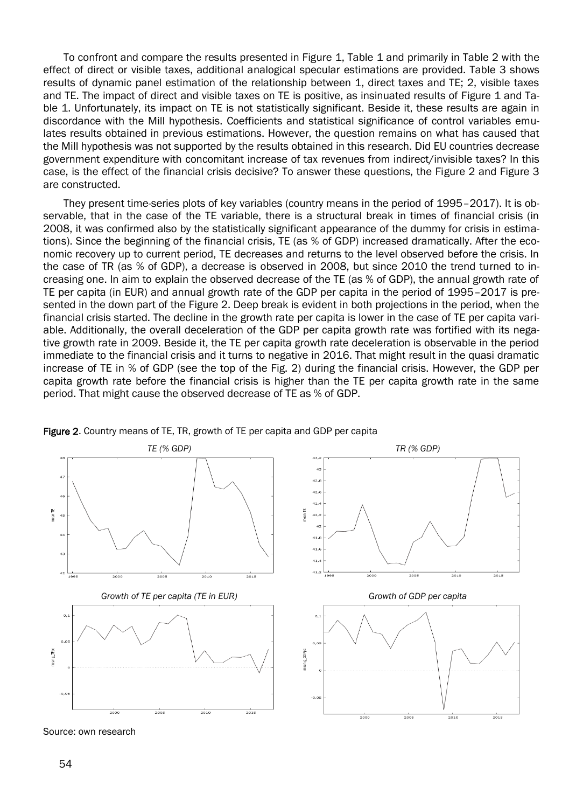To confront and compare the results presented in Figure 1, Table 1 and primarily in Table 2 with the effect of direct or visible taxes, additional analogical specular estimations are provided. Table 3 shows results of dynamic panel estimation of the relationship between 1, direct taxes and TE; 2, visible taxes and TE. The impact of direct and visible taxes on TE is positive, as insinuated results of Figure 1 and Table 1. Unfortunately, its impact on TE is not statistically significant. Beside it, these results are again in discordance with the Mill hypothesis. Coefficients and statistical significance of control variables emulates results obtained in previous estimations. However, the question remains on what has caused that the Mill hypothesis was not supported by the results obtained in this research. Did EU countries decrease government expenditure with concomitant increase of tax revenues from indirect/invisible taxes? In this case, is the effect of the financial crisis decisive? To answer these questions, the Figure 2 and Figure 3 are constructed.

They present time-series plots of key variables (country means in the period of 1995–2017). It is observable, that in the case of the TE variable, there is a structural break in times of financial crisis (in 2008, it was confirmed also by the statistically significant appearance of the dummy for crisis in estimations). Since the beginning of the financial crisis, TE (as % of GDP) increased dramatically. After the economic recovery up to current period, TE decreases and returns to the level observed before the crisis. In the case of TR (as % of GDP), a decrease is observed in 2008, but since 2010 the trend turned to increasing one. In aim to explain the observed decrease of the TE (as % of GDP), the annual growth rate of TE per capita (in EUR) and annual growth rate of the GDP per capita in the period of 1995–2017 is presented in the down part of the Figure 2. Deep break is evident in both projections in the period, when the financial crisis started. The decline in the growth rate per capita is lower in the case of TE per capita variable. Additionally, the overall deceleration of the GDP per capita growth rate was fortified with its negative growth rate in 2009. Beside it, the TE per capita growth rate deceleration is observable in the period immediate to the financial crisis and it turns to negative in 2016. That might result in the quasi dramatic increase of TE in % of GDP (see the top of the Fig. 2) during the financial crisis. However, the GDP per capita growth rate before the financial crisis is higher than the TE per capita growth rate in the same period. That might cause the observed decrease of TE as % of GDP.



Figure 2. Country means of TE, TR, growth of TE per capita and GDP per capita

Source: own research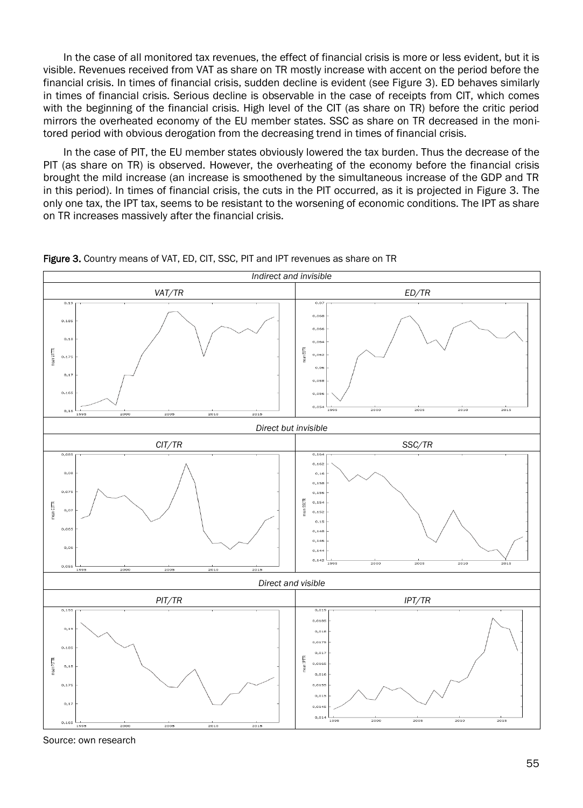In the case of all monitored tax revenues, the effect of financial crisis is more or less evident, but it is visible. Revenues received from VAT as share on TR mostly increase with accent on the period before the financial crisis. In times of financial crisis, sudden decline is evident (see Figure 3). ED behaves similarly in times of financial crisis. Serious decline is observable in the case of receipts from CIT, which comes with the beginning of the financial crisis. High level of the CIT (as share on TR) before the critic period mirrors the overheated economy of the EU member states. SSC as share on TR decreased in the monitored period with obvious derogation from the decreasing trend in times of financial crisis.

In the case of PIT, the EU member states obviously lowered the tax burden. Thus the decrease of the PIT (as share on TR) is observed. However, the overheating of the economy before the financial crisis brought the mild increase (an increase is smoothened by the simultaneous increase of the GDP and TR in this period). In times of financial crisis, the cuts in the PIT occurred, as it is projected in Figure 3. The only one tax, the IPT tax, seems to be resistant to the worsening of economic conditions. The IPT as share on TR increases massively after the financial crisis.



Figure 3. Country means of VAT, ED, CIT, SSC, PIT and IPT revenues as share on TR

Source: own research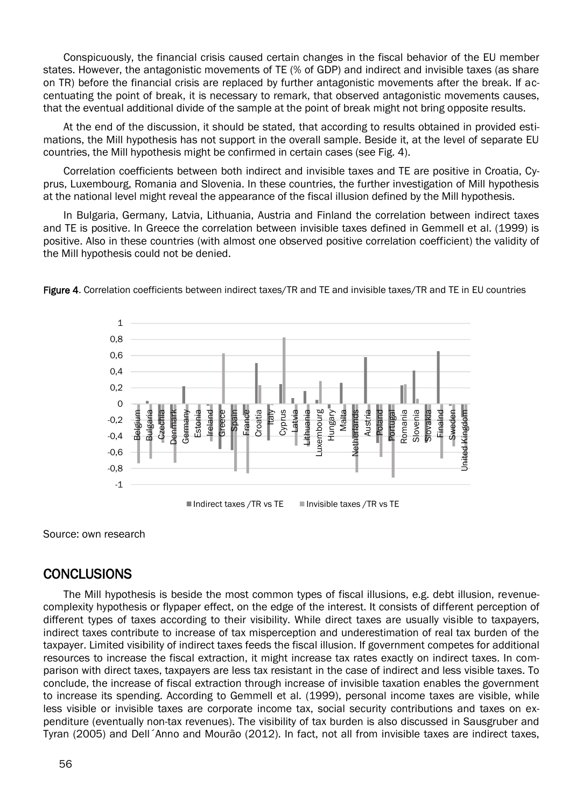Conspicuously, the financial crisis caused certain changes in the fiscal behavior of the EU member states. However, the antagonistic movements of TE (% of GDP) and indirect and invisible taxes (as share on TR) before the financial crisis are replaced by further antagonistic movements after the break. If accentuating the point of break, it is necessary to remark, that observed antagonistic movements causes, that the eventual additional divide of the sample at the point of break might not bring opposite results.

At the end of the discussion, it should be stated, that according to results obtained in provided estimations, the Mill hypothesis has not support in the overall sample. Beside it, at the level of separate EU countries, the Mill hypothesis might be confirmed in certain cases (see Fig. 4).

Correlation coefficients between both indirect and invisible taxes and TE are positive in Croatia, Cyprus, Luxembourg, Romania and Slovenia. In these countries, the further investigation of Mill hypothesis at the national level might reveal the appearance of the fiscal illusion defined by the Mill hypothesis.

In Bulgaria, Germany, Latvia, Lithuania, Austria and Finland the correlation between indirect taxes and TE is positive. In Greece the correlation between invisible taxes defined in Gemmell et al. (1999) is positive. Also in these countries (with almost one observed positive correlation coefficient) the validity of the Mill hypothesis could not be denied.



Figure 4. Correlation coefficients between indirect taxes/TR and TE and invisible taxes/TR and TE in EU countries

Source: own research

### **CONCLUSIONS**

The Mill hypothesis is beside the most common types of fiscal illusions, e.g. debt illusion, revenuecomplexity hypothesis or flypaper effect, on the edge of the interest. It consists of different perception of different types of taxes according to their visibility. While direct taxes are usually visible to taxpayers, indirect taxes contribute to increase of tax misperception and underestimation of real tax burden of the taxpayer. Limited visibility of indirect taxes feeds the fiscal illusion. If government competes for additional resources to increase the fiscal extraction, it might increase tax rates exactly on indirect taxes. In comparison with direct taxes, taxpayers are less tax resistant in the case of indirect and less visible taxes. To conclude, the increase of fiscal extraction through increase of invisible taxation enables the government to increase its spending. According to Gemmell et al. (1999), personal income taxes are visible, while less visible or invisible taxes are corporate income tax, social security contributions and taxes on expenditure (eventually non-tax revenues). The visibility of tax burden is also discussed in Sausgruber and Tyran (2005) and Dell´Anno and Mourão (2012). In fact, not all from invisible taxes are indirect taxes,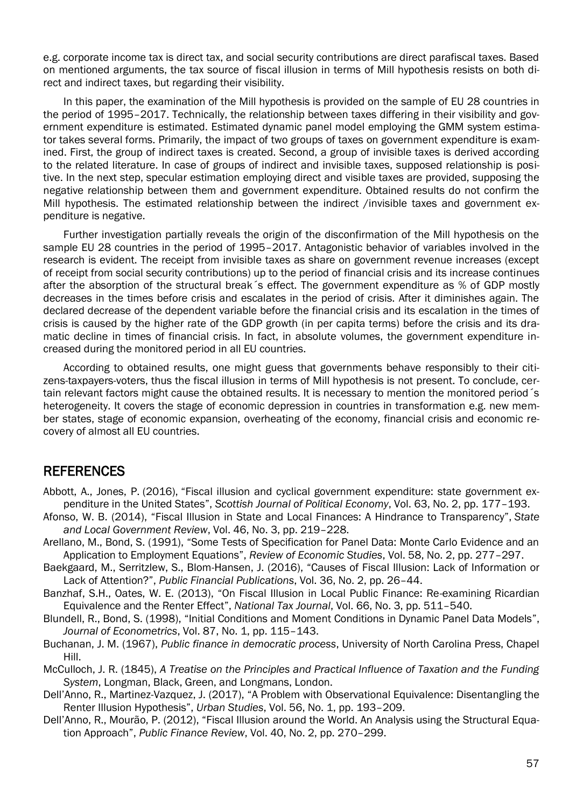e.g. corporate income tax is direct tax, and social security contributions are direct parafiscal taxes. Based on mentioned arguments, the tax source of fiscal illusion in terms of Mill hypothesis resists on both direct and indirect taxes, but regarding their visibility.

In this paper, the examination of the Mill hypothesis is provided on the sample of EU 28 countries in the period of 1995–2017. Technically, the relationship between taxes differing in their visibility and government expenditure is estimated. Estimated dynamic panel model employing the GMM system estimator takes several forms. Primarily, the impact of two groups of taxes on government expenditure is examined. First, the group of indirect taxes is created. Second, a group of invisible taxes is derived according to the related literature. In case of groups of indirect and invisible taxes, supposed relationship is positive. In the next step, specular estimation employing direct and visible taxes are provided, supposing the negative relationship between them and government expenditure. Obtained results do not confirm the Mill hypothesis. The estimated relationship between the indirect /invisible taxes and government expenditure is negative.

Further investigation partially reveals the origin of the disconfirmation of the Mill hypothesis on the sample EU 28 countries in the period of 1995–2017. Antagonistic behavior of variables involved in the research is evident. The receipt from invisible taxes as share on government revenue increases (except of receipt from social security contributions) up to the period of financial crisis and its increase continues after the absorption of the structural break´s effect. The government expenditure as % of GDP mostly decreases in the times before crisis and escalates in the period of crisis. After it diminishes again. The declared decrease of the dependent variable before the financial crisis and its escalation in the times of crisis is caused by the higher rate of the GDP growth (in per capita terms) before the crisis and its dramatic decline in times of financial crisis. In fact, in absolute volumes, the government expenditure increased during the monitored period in all EU countries.

According to obtained results, one might guess that governments behave responsibly to their citizens-taxpayers-voters, thus the fiscal illusion in terms of Mill hypothesis is not present. To conclude, certain relevant factors might cause the obtained results. It is necessary to mention the monitored period´s heterogeneity. It covers the stage of economic depression in countries in transformation e.g. new member states, stage of economic expansion, overheating of the economy, financial crisis and economic recovery of almost all EU countries.

### **REFERENCES**

- Abbott, A., Jones, P. (2016), "Fiscal illusion and cyclical government expenditure: state government expenditure in the United States", *Scottish Journal of Political Economy*, Vol. 63, No. 2, pp. 177–193.
- Afonso, W. B. (2014), "Fiscal Illusion in State and Local Finances: A Hindrance to Transparency", *State and Local Government Review*, Vol. 46, No. 3, pp. 219–228.
- Arellano, M., Bond, S. (1991), "Some Tests of Specification for Panel Data: Monte Carlo Evidence and an Application to Employment Equations", *Review of Economic Studies*, Vol. 58, No. 2, pp. 277–297.
- Baekgaard, M., Serritzlew, S., Blom-Hansen, J. (2016), "Causes of Fiscal Illusion: Lack of Information or Lack of Attention?", *Public Financial Publications*, Vol. 36, No. 2, pp. 26–44.
- Banzhaf, S.H., Oates, W. E. (2013), "On Fiscal Illusion in Local Public Finance: Re-examining Ricardian Equivalence and the Renter Effect", *National Tax Journal*, Vol. 66, No. 3, pp. 511–540.
- Blundell, R., Bond, S. (1998), "Initial Conditions and Moment Conditions in Dynamic Panel Data Models", *Journal of Econometrics*, Vol. 87, No. 1, pp. 115–143.
- Buchanan, J. M. (1967), *Public finance in democratic process*, University of North Carolina Press, Chapel Hill.
- McCulloch, J. R. (1845), *A Treatise on the Principles and Practical Influence of Taxation and the Funding System*, Longman, Black, Green, and Longmans, London.
- Dell'Anno, R., Martinez-Vazquez, J. (2017), "A Problem with Observational Equivalence: Disentangling the Renter Illusion Hypothesis", *Urban Studies*, Vol. 56, No. 1, pp. 193–209.
- Dell'Anno, R., Mourão, P. (2012), "Fiscal Illusion around the World. An Analysis using the Structural Equation Approach", *Public Finance Review*, Vol. 40, No. 2, pp. 270–299.